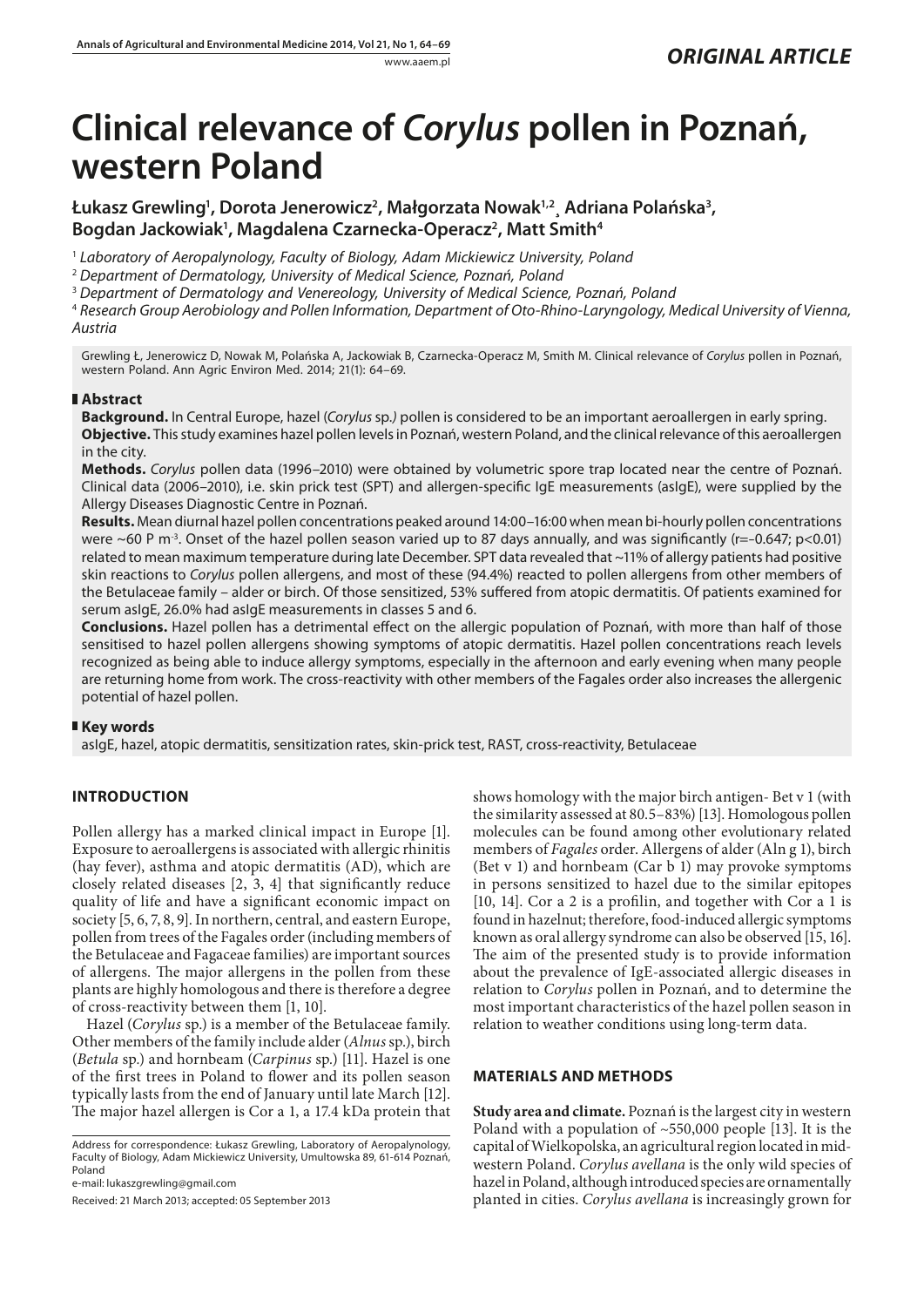# **Clinical relevance of** *Corylus* **pollen in Poznań, western Poland**

Łukasz Grewling<sup>1</sup>, Dorota Jenerowicz<sup>2</sup>, Małgorzata Nowak<sup>1,2</sup>¸ Adriana Polańska<sup>3</sup>, Bogdan Jackowiak<sup>1</sup>, Magdalena Czarnecka-Operacz<sup>2</sup>, Matt Smith<sup>4</sup>

<sup>1</sup> *Laboratory of Aeropalynology, Faculty of Biology, Adam Mickiewicz University, Poland*

<sup>2</sup> *Department of Dermatology, University of Medical Science, Poznań, Poland*

<sup>3</sup> *Department of Dermatology and Venereology, University of Medical Science, Poznań, Poland*

<sup>4</sup> *Research Group Aerobiology and Pollen Information, Department of Oto-Rhino-Laryngology, Medical University of Vienna, Austria*

Grewling Ł, Jenerowicz D, Nowak M, Polańska A, Jackowiak B, Czarnecka-Operacz M, Smith M. Clinical relevance of *Corylus* pollen in Poznań, western Poland. Ann Agric Environ Med. 2014; 21(1): 64–69.

# **Abstract**

**Background.** In Central Europe, hazel (*Corylus* sp*.)* pollen is considered to be an important aeroallergen in early spring. **Objective.** This study examines hazel pollen levels in Poznań, western Poland, and the clinical relevance of this aeroallergen in the city.

**Methods.** *Corylus* pollen data (1996–2010) were obtained by volumetric spore trap located near the centre of Poznań. Clinical data (2006–2010), i.e. skin prick test (SPT) and allergen-specific IgE measurements (asIgE), were supplied by the Allergy Diseases Diagnostic Centre in Poznań.

**Results.** Mean diurnal hazel pollen concentrations peaked around 14:00–16:00 when mean bi-hourly pollen concentrations were ~60 P m<sup>-3</sup>. Onset of the hazel pollen season varied up to 87 days annually, and was significantly (r=-0.647; p<0.01) related to mean maximum temperature during late December. SPT data revealed that ~11% of allergy patients had positive skin reactions to *Corylus* pollen allergens, and most of these (94.4%) reacted to pollen allergens from other members of the Betulaceae family *–* alder or birch. Of those sensitized, 53% suffered from atopic dermatitis. Of patients examined for serum asIgE, 26.0% had asIgE measurements in classes 5 and 6.

**Conclusions.** Hazel pollen has a detrimental effect on the allergic population of Poznań, with more than half of those sensitised to hazel pollen allergens showing symptoms of atopic dermatitis. Hazel pollen concentrations reach levels recognized as being able to induce allergy symptoms, especially in the afternoon and early evening when many people are returning home from work. The cross-reactivity with other members of the Fagales order also increases the allergenic potential of hazel pollen.

# **Key words**

asIgE, hazel, atopic dermatitis, sensitization rates, skin-prick test, RAST, cross-reactivity, Betulaceae

# **INTRODUCTION**

Pollen allergy has a marked clinical impact in Europe [1]. Exposure to aeroallergens is associated with allergic rhinitis (hay fever), asthma and atopic dermatitis (AD), which are closely related diseases [2, 3, 4] that significantly reduce quality of life and have a significant economic impact on society [5, 6, 7, 8, 9]. In northern, central, and eastern Europe, pollen from trees of the Fagales order (including members of the Betulaceae and Fagaceae families) are important sources of allergens. The major allergens in the pollen from these plants are highly homologous and there is therefore a degree of cross-reactivity between them [1, 10].

Hazel (*Corylus* sp.) is a member of the Betulaceae family. Other members of the family include alder (*Alnus* sp.), birch (*Betula* sp*.*) and hornbeam (*Carpinus* sp*.*) [11]. Hazel is one of the first trees in Poland to flower and its pollen season typically lasts from the end of January until late March [12]. The major hazel allergen is Cor a 1, a 17.4 kDa protein that

Address for correspondence: Łukasz Grewling, Laboratory of Aeropalynology, Faculty of Biology, Adam Mickiewicz University, Umultowska 89, 61-614 Poznań, Poland

e-mail: lukaszgrewling@gmail.com

Received: 21 March 2013; accepted: 05 September 2013

shows homology with the major birch antigen- Bet v 1 (with the similarity assessed at 80.5–83%) [13]. Homologous pollen molecules can be found among other evolutionary related members of *Fagales* order. Allergens of alder (Aln g 1), birch (Bet v 1) and hornbeam (Car b 1) may provoke symptoms in persons sensitized to hazel due to the similar epitopes [10, 14]. Cor a 2 is a profilin, and together with Cor a 1 is found in hazelnut; therefore, food-induced allergic symptoms known as oral allergy syndrome can also be observed [15, 16]. The aim of the presented study is to provide information about the prevalence of IgE-associated allergic diseases in relation to *Corylus* pollen in Poznań, and to determine the most important characteristics of the hazel pollen season in relation to weather conditions using long-term data.

# **MATERIALS AND METHODS**

**Study area and climate.** Poznań is the largest city in western Poland with a population of ~550,000 people [13]. It is the capital of Wielkopolska, an agricultural region located in midwestern Poland. *Corylus avellana* is the only wild species of hazel in Poland, although introduced species are ornamentally planted in cities. *Corylus avellana* is increasingly grown for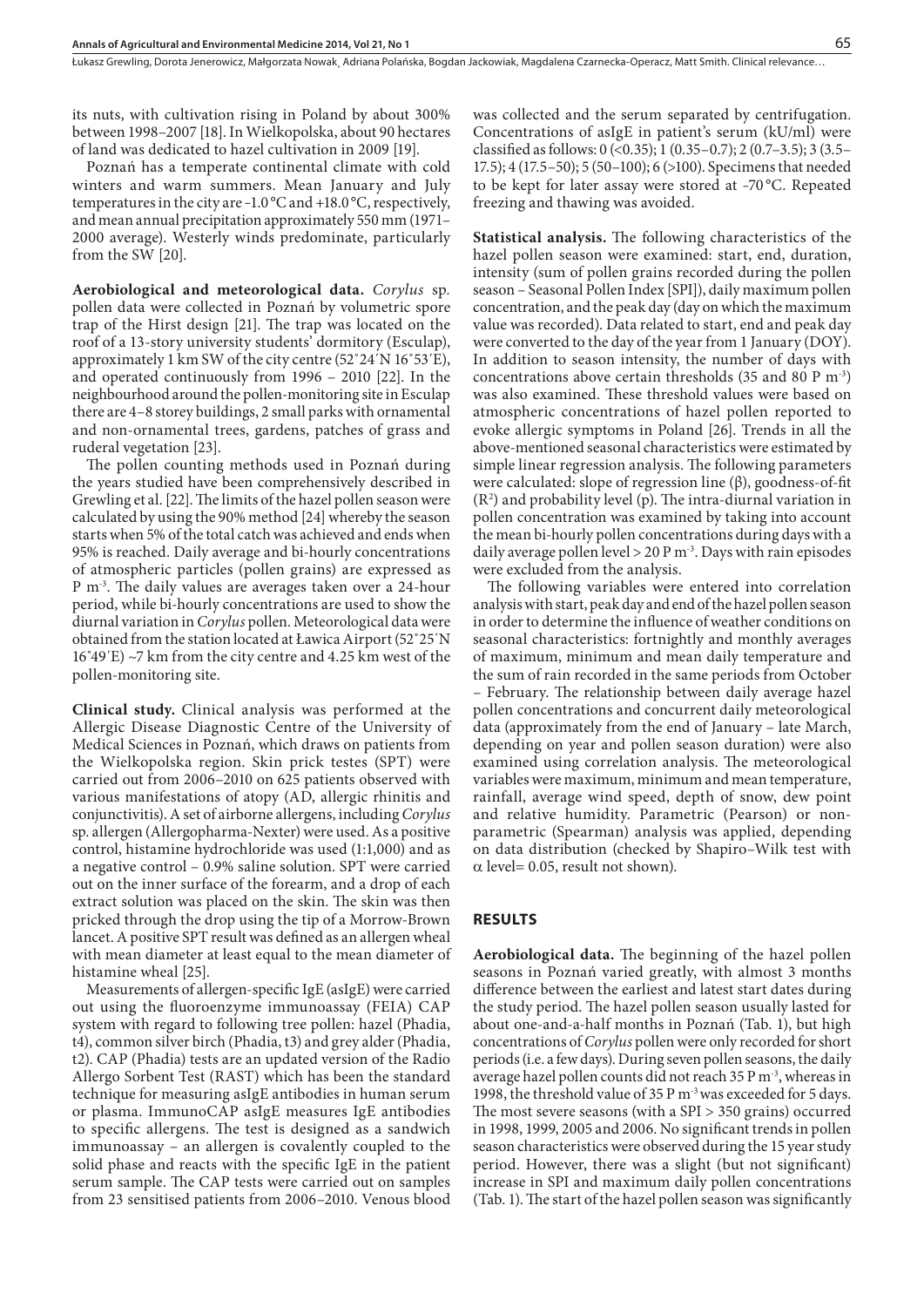Łukasz Grewling, Dorota Jenerowicz, Małgorzata Nowak¸ Adriana Polańska, Bogdan Jackowiak, Magdalena Czarnecka-Operacz, Matt Smith . Clinical relevance…

its nuts, with cultivation rising in Poland by about 300% between 1998–2007 [18]. In Wielkopolska, about 90 hectares of land was dedicated to hazel cultivation in 2009 [19].

Poznań has a temperate continental climate with cold winters and warm summers. Mean January and July temperatures in the city are −1.0 °C and +18.0 °C, respectively, and mean annual precipitation approximately 550 mm (1971– 2000 average). Westerly winds predominate, particularly from the SW [20].

**Aerobiological and meteorological data.** *Corylus* sp*.*  pollen data were collected in Poznań by volumetric spore trap of the Hirst design [21]. The trap was located on the roof of a 13-story university students' dormitory (Esculap), approximately 1 km SW of the city centre (52˚24΄N 16˚53΄E), and operated continuously from 1996 – 2010 [22]. In the neighbourhood around the pollen-monitoring site in Esculap there are 4–8 storey buildings, 2 small parks with ornamental and non-ornamental trees, gardens, patches of grass and ruderal vegetation [23].

The pollen counting methods used in Poznań during the years studied have been comprehensively described in Grewling et al. [22]. The limits of the hazel pollen season were calculated by using the 90% method [24] whereby the season starts when 5% of the total catch was achieved and ends when 95% is reached. Daily average and bi-hourly concentrations of atmospheric particles (pollen grains) are expressed as P m-3. The daily values are averages taken over a 24-hour period, while bi-hourly concentrations are used to show the diurnal variation in *Corylus* pollen. Meteorological data were obtained from the station located at Ławica Airport (52˚25΄N 16˚49΄E) ~7 km from the city centre and 4.25 km west of the pollen-monitoring site.

**Clinical study.** Clinical analysis was performed at the Allergic Disease Diagnostic Centre of the University of Medical Sciences in Poznań, which draws on patients from the Wielkopolska region. Skin prick testes (SPT) were carried out from 2006–2010 on 625 patients observed with various manifestations of atopy (AD, allergic rhinitis and conjunctivitis). A set of airborne allergens, including *Corylus* sp. allergen (Allergopharma-Nexter) were used. As a positive control, histamine hydrochloride was used (1:1,000) and as a negative control – 0.9% saline solution. SPT were carried out on the inner surface of the forearm, and a drop of each extract solution was placed on the skin. The skin was then pricked through the drop using the tip of a Morrow-Brown lancet. A positive SPT result was defined as an allergen wheal with mean diameter at least equal to the mean diameter of histamine wheal [25].

Measurements of allergen-specific IgE (asIgE) were carried out using the fluoroenzyme immunoassay (FEIA) CAP system with regard to following tree pollen: hazel (Phadia, t4), common silver birch (Phadia, t3) and grey alder (Phadia, t2). CAP (Phadia) tests are an updated version of the Radio Allergo Sorbent Test (RAST) which has been the standard technique for measuring asIgE antibodies in human serum or plasma. ImmunoCAP asIgE measures IgE antibodies to specific allergens. The test is designed as a sandwich immunoassay – an allergen is covalently coupled to the solid phase and reacts with the specific IgE in the patient serum sample. The CAP tests were carried out on samples from 23 sensitised patients from 2006–2010. Venous blood was collected and the serum separated by centrifugation. Concentrations of asIgE in patient's serum (kU/ml) were classified as follows:  $0 \le (0.35); 1 \le (0.35-0.7); 2 \le (0.7-3.5); 3 \le (3.5-0.7);$ 17.5); 4 (17.5–50); 5 (50–100); 6 (>100). Specimens that needed to be kept for later assay were stored at –70 °C. Repeated freezing and thawing was avoided.

**Statistical analysis.** The following characteristics of the hazel pollen season were examined: start, end, duration, intensity (sum of pollen grains recorded during the pollen season – Seasonal Pollen Index [SPI]), daily maximum pollen concentration, and the peak day (day on which the maximum value was recorded). Data related to start, end and peak day were converted to the day of the year from 1 January (DOY). In addition to season intensity, the number of days with concentrations above certain thresholds (35 and 80 P m-3) was also examined. These threshold values were based on atmospheric concentrations of hazel pollen reported to evoke allergic symptoms in Poland [26]. Trends in all the above-mentioned seasonal characteristics were estimated by simple linear regression analysis. The following parameters were calculated: slope of regression line (β), goodness-of-fit  $(R<sup>2</sup>)$  and probability level (p). The intra-diurnal variation in pollen concentration was examined by taking into account the mean bi-hourly pollen concentrations during days with a daily average pollen level  $>$  20 P m<sup>-3</sup>. Days with rain episodes were excluded from the analysis.

The following variables were entered into correlation analysis with start, peak day and end of the hazel pollen season in order to determine the influence of weather conditions on seasonal characteristics: fortnightly and monthly averages of maximum, minimum and mean daily temperature and the sum of rain recorded in the same periods from October

– February. The relationship between daily average hazel pollen concentrations and concurrent daily meteorological data (approximately from the end of January – late March, depending on year and pollen season duration) were also examined using correlation analysis. The meteorological variables were maximum, minimum and mean temperature, rainfall, average wind speed, depth of snow, dew point and relative humidity. Parametric (Pearson) or nonparametric (Spearman) analysis was applied, depending on data distribution (checked by Shapiro–Wilk test with  $\alpha$  level= 0.05, result not shown).

## **RESULTS**

**Aerobiological data.** The beginning of the hazel pollen seasons in Poznań varied greatly, with almost 3 months difference between the earliest and latest start dates during the study period. The hazel pollen season usually lasted for about one-and-a-half months in Poznań (Tab. 1), but high concentrations of *Corylus* pollen were only recorded for short periods (i.e. a few days). During seven pollen seasons, the daily average hazel pollen counts did not reach 35 P m-3, whereas in 1998, the threshold value of 35 P m<sup>-3</sup> was exceeded for 5 days. The most severe seasons (with a SPI > 350 grains) occurred in 1998, 1999, 2005 and 2006. No significant trends in pollen season characteristics were observed during the 15 year study period. However, there was a slight (but not significant) increase in SPI and maximum daily pollen concentrations (Tab. 1). The start of the hazel pollen season was significantly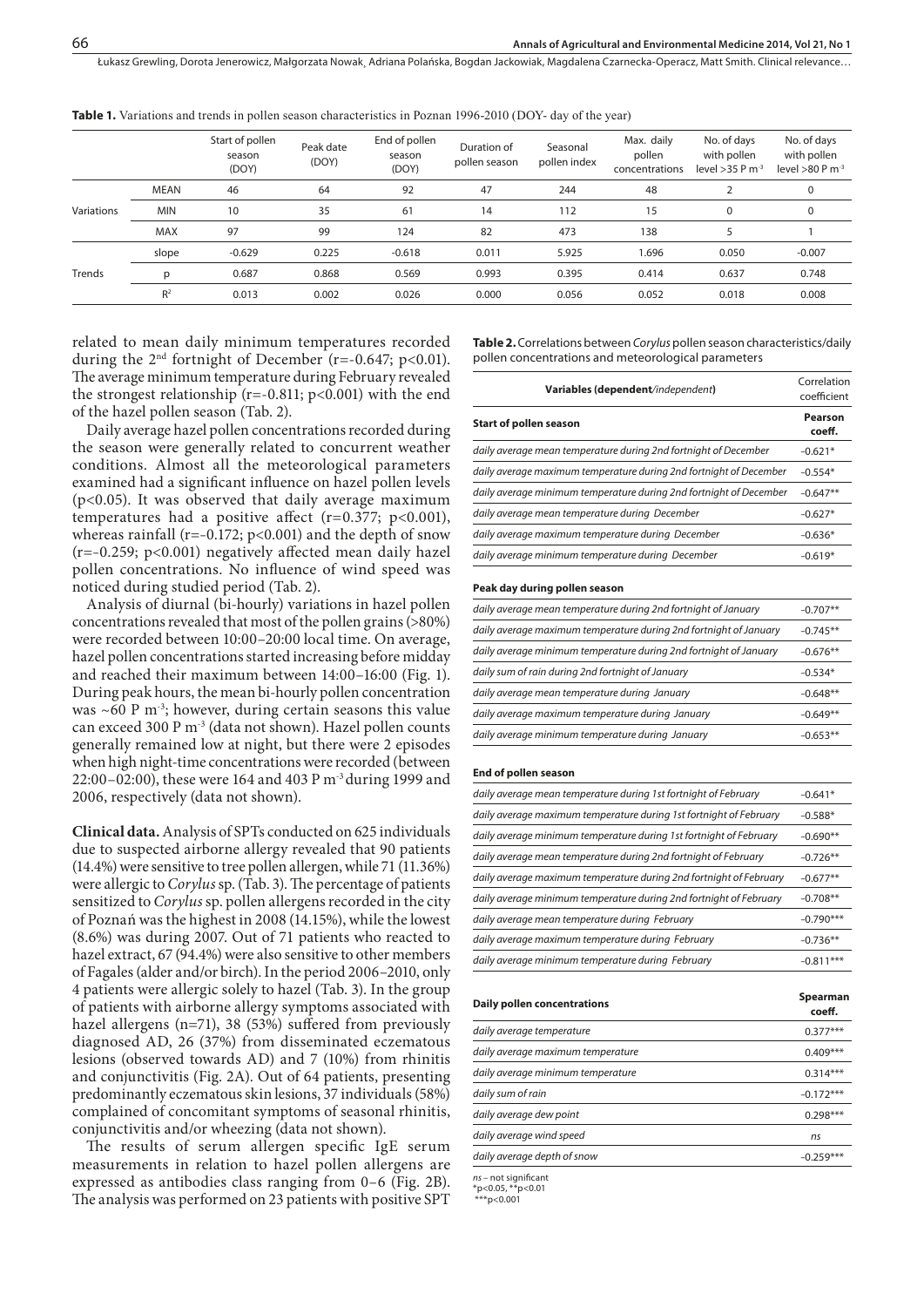Łukasz Grewling, Dorota Jenerowicz, Małgorzata Nowak¸ Adriana Polańska, Bogdan Jackowiak, Magdalena Czarnecka-Operacz, Matt Smith . Clinical relevance…

|            |                | Start of pollen<br>season<br>(DOY) | Peak date<br>(DOY) | End of pollen<br>season<br>(DOY) | Duration of<br>pollen season | Seasonal<br>pollen index | Max. daily<br>pollen<br>concentrations | No. of days<br>with pollen<br>level $>35$ P m <sup>-3</sup> | No. of days<br>with pollen<br>level >80 P $m-3$ |
|------------|----------------|------------------------------------|--------------------|----------------------------------|------------------------------|--------------------------|----------------------------------------|-------------------------------------------------------------|-------------------------------------------------|
|            | <b>MEAN</b>    | 46                                 | 64                 | 92                               | 47                           | 244                      | 48                                     |                                                             | 0                                               |
| Variations | <b>MIN</b>     | 10                                 | 35                 | 61                               | 14                           | 112                      | 15                                     | $\mathbf 0$                                                 | 0                                               |
|            | <b>MAX</b>     | 97                                 | 99                 | 124                              | 82                           | 473                      | 138                                    |                                                             |                                                 |
|            | slope          | $-0.629$                           | 0.225              | $-0.618$                         | 0.011                        | 5.925                    | 1.696                                  | 0.050                                                       | $-0.007$                                        |
| Trends     | D              | 0.687                              | 0.868              | 0.569                            | 0.993                        | 0.395                    | 0.414                                  | 0.637                                                       | 0.748                                           |
|            | R <sup>2</sup> | 0.013                              | 0.002              | 0.026                            | 0.000                        | 0.056                    | 0.052                                  | 0.018                                                       | 0.008                                           |
|            |                |                                    |                    |                                  |                              |                          |                                        |                                                             |                                                 |

**Table 1.** Variations and trends in pollen season characteristics in Poznan 1996-2010 (DOY- day of the year)

related to mean daily minimum temperatures recorded during the  $2<sup>nd</sup>$  fortnight of December (r=-0.647; p<0.01). The average minimum temperature during February revealed the strongest relationship ( $r=-0.811$ ;  $p<0.001$ ) with the end of the hazel pollen season (Tab. 2).

Daily average hazel pollen concentrations recorded during the season were generally related to concurrent weather conditions. Almost all the meteorological parameters examined had a significant influence on hazel pollen levels (p<0.05). It was observed that daily average maximum temperatures had a positive affect  $(r=0.377; p<0.001)$ , whereas rainfall ( $r=-0.172$ ;  $p<0.001$ ) and the depth of snow (r=–0.259; p<0.001) negatively affected mean daily hazel pollen concentrations. No influence of wind speed was noticed during studied period (Tab. 2).

Analysis of diurnal (bi-hourly) variations in hazel pollen concentrations revealed that most of the pollen grains (>80%) were recorded between 10:00–20:00 local time. On average, hazel pollen concentrations started increasing before midday and reached their maximum between 14:00–16:00 (Fig. 1). During peak hours, the mean bi-hourly pollen concentration was  $~60$  P m<sup>-3</sup>; however, during certain seasons this value can exceed 300 P m-3 (data not shown). Hazel pollen counts generally remained low at night, but there were 2 episodes when high night-time concentrations were recorded (between 22:00–02:00), these were 164 and 403 P m-3 during 1999 and 2006, respectively (data not shown).

**Clinical data.** Analysis of SPTs conducted on 625 individuals due to suspected airborne allergy revealed that 90 patients (14.4%) were sensitive to tree pollen allergen, while 71 (11.36%) were allergic to *Corylus* sp. (Tab. 3). The percentage of patients sensitized to *Corylus* sp. pollen allergens recorded in the city of Poznań was the highest in 2008 (14.15%), while the lowest (8.6%) was during 2007. Out of 71 patients who reacted to hazel extract, 67 (94.4%) were also sensitive to other members of Fagales (alder and/or birch). In the period 2006–2010, only 4 patients were allergic solely to hazel (Tab. 3). In the group of patients with airborne allergy symptoms associated with hazel allergens (n=71), 38 (53%) suffered from previously diagnosed AD, 26 (37%) from disseminated eczematous lesions (observed towards AD) and 7 (10%) from rhinitis and conjunctivitis (Fig. 2A). Out of 64 patients, presenting predominantly eczematous skin lesions, 37 individuals (58%) complained of concomitant symptoms of seasonal rhinitis, conjunctivitis and/or wheezing (data not shown).

The results of serum allergen specific IgE serum measurements in relation to hazel pollen allergens are expressed as antibodies class ranging from 0–6 (Fig. 2B). The analysis was performed on 23 patients with positive SPT

**Table 2.** Correlations between *Corylus* pollen season characteristics/daily pollen concentrations and meteorological parameters

| Variables (dependent/independent)                                  |                   |  |  |  |
|--------------------------------------------------------------------|-------------------|--|--|--|
| <b>Start of pollen season</b>                                      | Pearson<br>coeff. |  |  |  |
| daily average mean temperature during 2nd fortnight of December    | $-0.621*$         |  |  |  |
| daily average maximum temperature during 2nd fortnight of December | $-0.554*$         |  |  |  |
| daily average minimum temperature during 2nd fortnight of December | $-0.647**$        |  |  |  |
| daily average mean temperature during December                     | $-0.627*$         |  |  |  |
| daily average maximum temperature during December                  | $-0.636*$         |  |  |  |
| daily average minimum temperature during December                  | $-0.619*$         |  |  |  |
| Peak day during pollen season                                      |                   |  |  |  |
| daily average mean temperature during 2nd fortnight of January     | $-0.707**$        |  |  |  |
| daily average maximum temperature during 2nd fortnight of January  | $-0.745**$        |  |  |  |
| daily average minimum temperature during 2nd fortnight of January  | $-0.676**$        |  |  |  |
| daily sum of rain during 2nd fortnight of January                  | $-0.534*$         |  |  |  |
| daily average mean temperature during January                      | $-0.648**$        |  |  |  |

#### **End of pollen season**

| daily average mean temperature during 1st fortnight of February    | $-0.641*$   |
|--------------------------------------------------------------------|-------------|
| daily average maximum temperature during 1st fortnight of February | $-0.588*$   |
| daily average minimum temperature during 1st fortnight of February | $-0.690**$  |
| daily average mean temperature during 2nd fortnight of February    | $-0.726**$  |
| daily average maximum temperature during 2nd fortnight of February | $-0.677**$  |
| daily average minimum temperature during 2nd fortnight of February | $-0.708**$  |
| daily average mean temperature during February                     | $-0.790***$ |
| daily average maximum temperature during February                  | $-0.736**$  |
| daily average minimum temperature during February                  | $-0.811***$ |
|                                                                    |             |

daily average maximum temperature during January **Figure 10.649**\*\* daily average minimum temperature during January **Following 1966** -0.653<sup>\*\*</sup>

| daily average temperature<br>daily average maximum temperature<br>daily average minimum temperature<br>daily sum of rain<br>daily average dew point | Daily pollen concentrations | Spearman<br>coeff. |
|-----------------------------------------------------------------------------------------------------------------------------------------------------|-----------------------------|--------------------|
|                                                                                                                                                     |                             | $0.377***$         |
|                                                                                                                                                     |                             | $0.409***$         |
|                                                                                                                                                     |                             | $0.314***$         |
|                                                                                                                                                     |                             | $-0.172***$        |
|                                                                                                                                                     |                             | $0.298***$         |
|                                                                                                                                                     | daily average wind speed    | ns                 |
| daily average depth of snow                                                                                                                         |                             | $-0.259***$        |

*ns* – not significant

\*p<0.05, \*\*p<0.01 \*\*\*p<0.001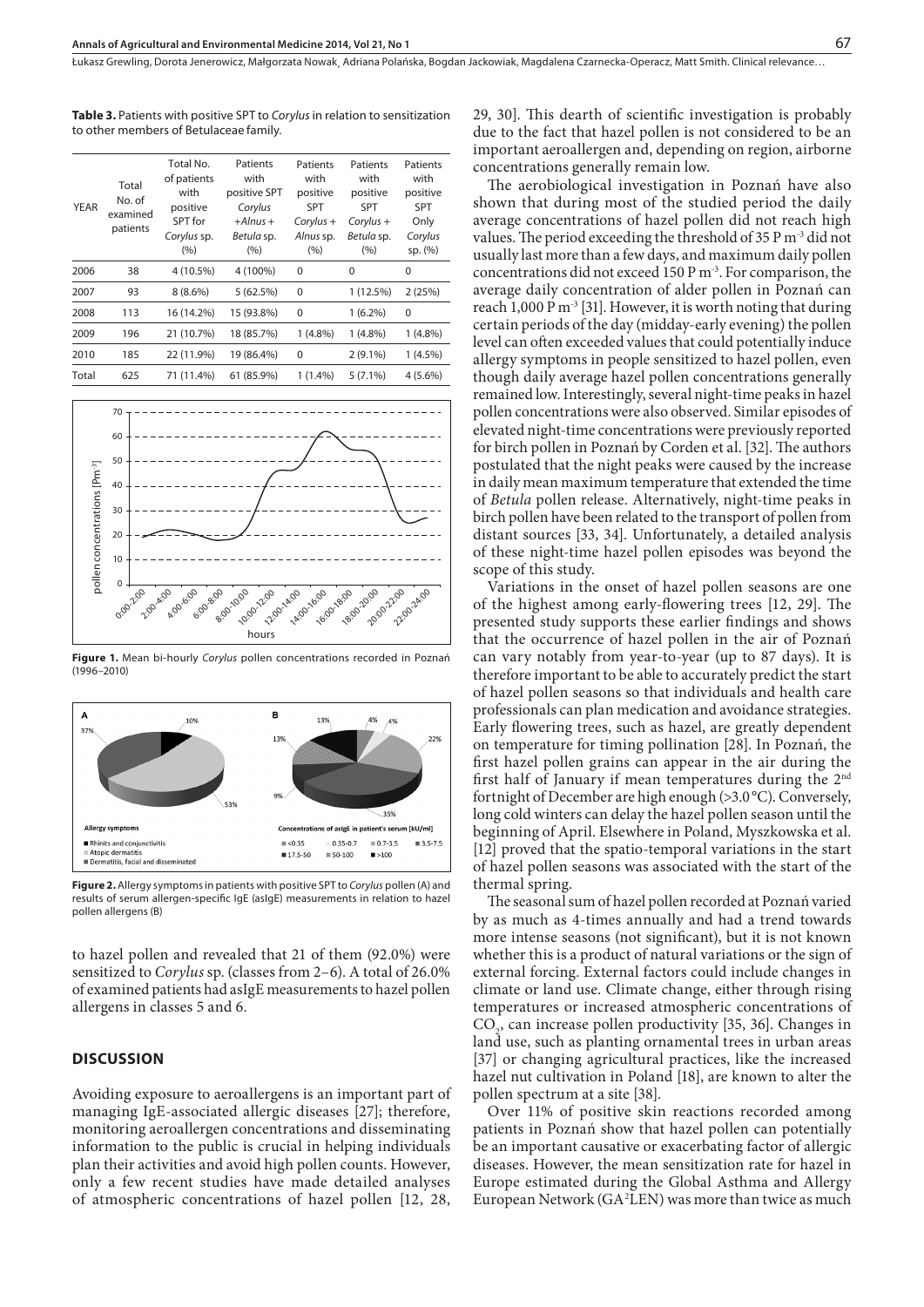**Table 3.** Patients with positive SPT to *Corylus* in relation to sensitization to other members of Betulaceae family*.*

| <b>YEAR</b> | Total<br>No. of<br>examined<br>patients | Total No.<br>of patients<br>with<br>positive<br>SPT for<br>Corylus sp.<br>(%) | Patients<br>with<br>positive SPT<br>Corylus<br>$+ Alnus +$<br>Betula sp.<br>(9/6) | Patients<br>with<br>positive<br><b>SPT</b><br>$Corylus +$<br>Alnus sp.<br>(9/6) | Patients<br>with<br>positive<br><b>SPT</b><br>$Corylus +$<br>Betula sp.<br>(9/6) | Patients<br>with<br>positive<br><b>SPT</b><br>Only<br>Corylus<br>sp. (%) |
|-------------|-----------------------------------------|-------------------------------------------------------------------------------|-----------------------------------------------------------------------------------|---------------------------------------------------------------------------------|----------------------------------------------------------------------------------|--------------------------------------------------------------------------|
| 2006        | 38                                      | 4 (10.5%)                                                                     | 4 (100%)                                                                          | 0                                                                               | 0                                                                                | 0                                                                        |
| 2007        | 93                                      | $8(8.6\%)$                                                                    | 5(62.5%)                                                                          | 0                                                                               | 1 (12.5%)                                                                        | 2(25%)                                                                   |
| 2008        | 113                                     | 16 (14.2%)                                                                    | 15 (93.8%)                                                                        | 0                                                                               | $1(6.2\%)$                                                                       | 0                                                                        |
| 2009        | 196                                     | 21 (10.7%)                                                                    | 18 (85.7%)                                                                        | $1(4.8\%)$                                                                      | $1(4.8\%)$                                                                       | $1(4.8\%)$                                                               |
| 2010        | 185                                     | 22 (11.9%)                                                                    | 19 (86.4%)                                                                        | 0                                                                               | $2(9.1\%)$                                                                       | 1(4.5%)                                                                  |
| Total       | 625                                     | 71 (11.4%)                                                                    | 61 (85.9%)                                                                        | $1(1.4\%)$                                                                      | $5(7.1\%)$                                                                       | $4(5.6\%)$                                                               |



**Figure 1.** Mean bi-hourly *Corylus* pollen concentrations recorded in Poznań (1996–2010)



**Figure 2.** Allergy symptoms in patients with positive SPT to *Corylus* pollen (A) and results of serum allergen-specific IgE (asIgE) measurements in relation to hazel pollen allergens (B)

to hazel pollen and revealed that 21 of them (92.0%) were sensitized to *Corylus* sp. (classes from 2–6). A total of 26.0% of examined patients had asIgE measurements to hazel pollen allergens in classes 5 and 6.

## **DISCUSSION**

Avoiding exposure to aeroallergens is an important part of managing IgE-associated allergic diseases [27]; therefore, monitoring aeroallergen concentrations and disseminating information to the public is crucial in helping individuals plan their activities and avoid high pollen counts. However, only a few recent studies have made detailed analyses of atmospheric concentrations of hazel pollen [12, 28,

29, 30]. This dearth of scientific investigation is probably due to the fact that hazel pollen is not considered to be an important aeroallergen and, depending on region, airborne concentrations generally remain low.

The aerobiological investigation in Poznań have also shown that during most of the studied period the daily average concentrations of hazel pollen did not reach high values. The period exceeding the threshold of 35 P m<sup>-3</sup> did not usually last more than a few days, and maximum daily pollen concentrations did not exceed 150 P m-3. For comparison, the average daily concentration of alder pollen in Poznań can reach 1,000 P m<sup>-3</sup> [31]. However, it is worth noting that during certain periods of the day (midday-early evening) the pollen level can often exceeded values that could potentially induce allergy symptoms in people sensitized to hazel pollen, even though daily average hazel pollen concentrations generally remained low. Interestingly, several night-time peaks in hazel pollen concentrations were also observed. Similar episodes of elevated night-time concentrations were previously reported for birch pollen in Poznań by Corden et al. [32]. The authors postulated that the night peaks were caused by the increase in daily mean maximum temperature that extended the time of *Betula* pollen release. Alternatively, night-time peaks in birch pollen have been related to the transport of pollen from distant sources [33, 34]. Unfortunately, a detailed analysis of these night-time hazel pollen episodes was beyond the scope of this study.

Variations in the onset of hazel pollen seasons are one of the highest among early-flowering trees [12, 29]. The presented study supports these earlier findings and shows that the occurrence of hazel pollen in the air of Poznań can vary notably from year-to-year (up to 87 days). It is therefore important to be able to accurately predict the start of hazel pollen seasons so that individuals and health care professionals can plan medication and avoidance strategies. Early flowering trees, such as hazel, are greatly dependent on temperature for timing pollination [28]. In Poznań, the first hazel pollen grains can appear in the air during the first half of January if mean temperatures during the 2nd fortnight of December are high enough (>3.0 °C). Conversely, long cold winters can delay the hazel pollen season until the beginning of April. Elsewhere in Poland, Myszkowska et al. [12] proved that the spatio-temporal variations in the start of hazel pollen seasons was associated with the start of the thermal spring.

The seasonal sum of hazel pollen recorded at Poznań varied by as much as 4-times annually and had a trend towards more intense seasons (not significant), but it is not known whether this is a product of natural variations or the sign of external forcing. External factors could include changes in climate or land use. Climate change, either through rising temperatures or increased atmospheric concentrations of  $CO<sub>2</sub>$ , can increase pollen productivity [35, 36]. Changes in land use, such as planting ornamental trees in urban areas [37] or changing agricultural practices, like the increased hazel nut cultivation in Poland [18], are known to alter the pollen spectrum at a site [38].

Over 11% of positive skin reactions recorded among patients in Poznań show that hazel pollen can potentially be an important causative or exacerbating factor of allergic diseases. However, the mean sensitization rate for hazel in Europe estimated during the Global Asthma and Allergy European Network (GA<sup>2</sup>LEN) was more than twice as much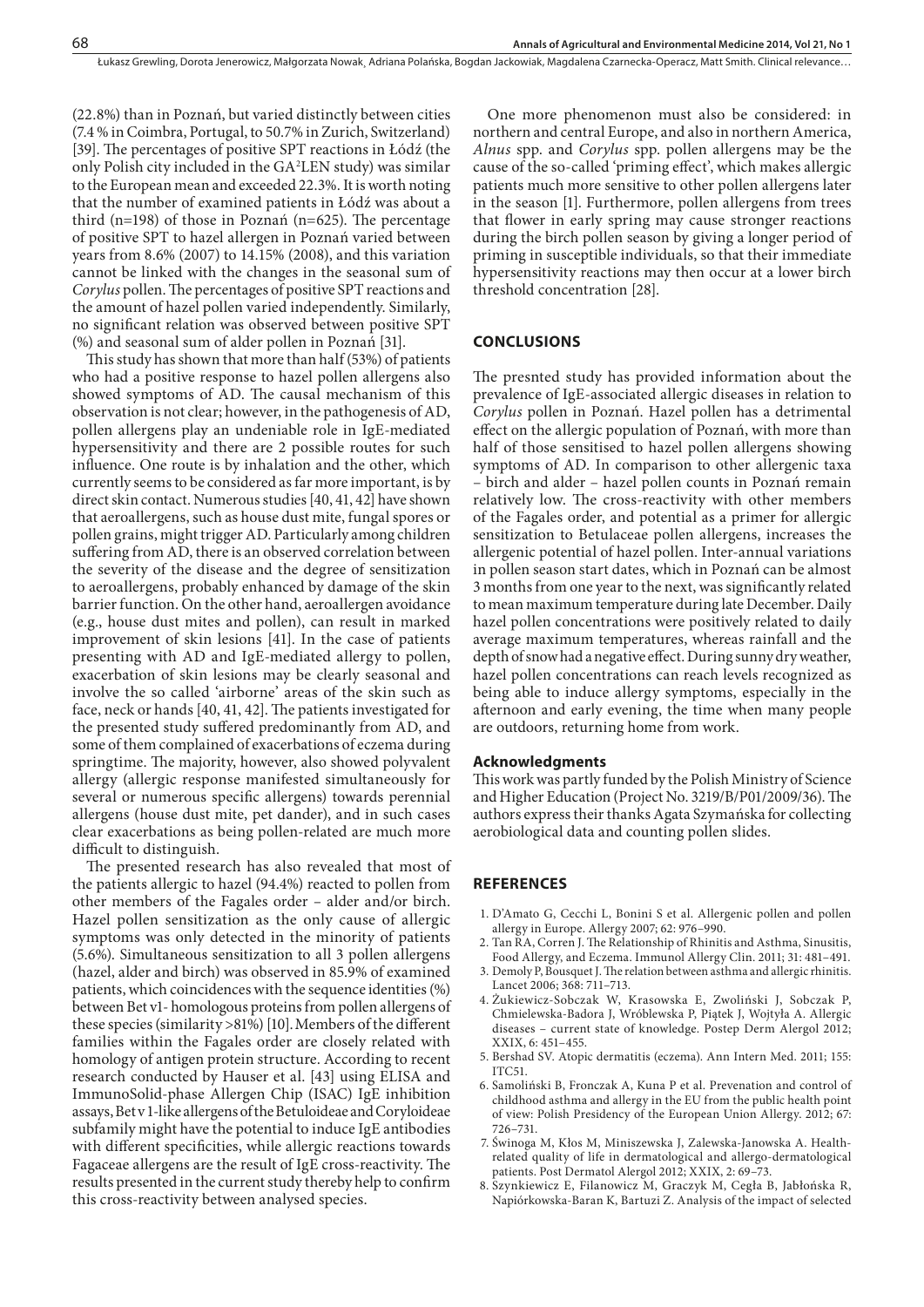(22.8%) than in Poznań, but varied distinctly between cities (7.4 % in Coimbra, Portugal, to 50.7% in Zurich, Switzerland) [39]. The percentages of positive SPT reactions in Łódź (the only Polish city included in the GA2 LEN study) was similar to the European mean and exceeded 22.3%. It is worth noting that the number of examined patients in Łódź was about a third (n=198) of those in Poznań (n=625). The percentage of positive SPT to hazel allergen in Poznań varied between years from 8.6% (2007) to 14.15% (2008), and this variation cannot be linked with the changes in the seasonal sum of *Corylus* pollen. The percentages of positive SPT reactions and the amount of hazel pollen varied independently. Similarly, no significant relation was observed between positive SPT (%) and seasonal sum of alder pollen in Poznań [31].

This study has shown that more than half (53%) of patients who had a positive response to hazel pollen allergens also showed symptoms of AD. The causal mechanism of this observation is not clear; however, in the pathogenesis of AD, pollen allergens play an undeniable role in IgE-mediated hypersensitivity and there are 2 possible routes for such influence. One route is by inhalation and the other, which currently seems to be considered as far more important, is by direct skin contact. Numerous studies [40, 41, 42] have shown that aeroallergens, such as house dust mite, fungal spores or pollen grains, might trigger AD. Particularly among children suffering from AD, there is an observed correlation between the severity of the disease and the degree of sensitization to aeroallergens, probably enhanced by damage of the skin barrier function. On the other hand, aeroallergen avoidance (e.g., house dust mites and pollen), can result in marked improvement of skin lesions [41]. In the case of patients presenting with AD and IgE-mediated allergy to pollen, exacerbation of skin lesions may be clearly seasonal and involve the so called 'airborne' areas of the skin such as face, neck or hands [40, 41, 42]. The patients investigated for the presented study suffered predominantly from AD, and some of them complained of exacerbations of eczema during springtime. The majority, however, also showed polyvalent allergy (allergic response manifested simultaneously for several or numerous specific allergens) towards perennial allergens (house dust mite, pet dander), and in such cases clear exacerbations as being pollen-related are much more difficult to distinguish.

The presented research has also revealed that most of the patients allergic to hazel (94.4%) reacted to pollen from other members of the Fagales order *–* alder and/or birch. Hazel pollen sensitization as the only cause of allergic symptoms was only detected in the minority of patients (5.6%). Simultaneous sensitization to all 3 pollen allergens (hazel, alder and birch) was observed in 85.9% of examined patients, which coincidences with the sequence identities (%) between Bet v1- homologous proteins from pollen allergens of these species (similarity >81%) [10].Members of the different families within the Fagales order are closely related with homology of antigen protein structure. According to recent research conducted by Hauser et al. [43] using ELISA and ImmunoSolid-phase Allergen Chip (ISAC) IgE inhibition assays, Bet v 1-like allergens of the Betuloideae and Coryloideae subfamily might have the potential to induce IgE antibodies with different specificities, while allergic reactions towards Fagaceae allergens are the result of IgE cross-reactivity. The results presented in the current study thereby help to confirm this cross-reactivity between analysed species.

One more phenomenon must also be considered: in northern and central Europe, and also in northern America, *Alnus* spp. and *Corylus* spp. pollen allergens may be the cause of the so-called 'priming effect', which makes allergic patients much more sensitive to other pollen allergens later in the season [1]. Furthermore, pollen allergens from trees that flower in early spring may cause stronger reactions during the birch pollen season by giving a longer period of priming in susceptible individuals, so that their immediate hypersensitivity reactions may then occur at a lower birch threshold concentration [28].

## **CONCLUSIONS**

The presnted study has provided information about the prevalence of IgE-associated allergic diseases in relation to *Corylus* pollen in Poznań. Hazel pollen has a detrimental effect on the allergic population of Poznań, with more than half of those sensitised to hazel pollen allergens showing symptoms of AD. In comparison to other allergenic taxa – birch and alder – hazel pollen counts in Poznań remain relatively low. The cross-reactivity with other members of the Fagales order, and potential as a primer for allergic sensitization to Betulaceae pollen allergens, increases the allergenic potential of hazel pollen. Inter-annual variations in pollen season start dates, which in Poznań can be almost 3 months from one year to the next, was significantly related to mean maximum temperature during late December. Daily hazel pollen concentrations were positively related to daily average maximum temperatures, whereas rainfall and the depth of snow had a negative effect. During sunny dry weather, hazel pollen concentrations can reach levels recognized as being able to induce allergy symptoms, especially in the afternoon and early evening, the time when many people are outdoors, returning home from work.

### **Acknowledgments**

This work was partly funded by the Polish Ministry of Science and Higher Education (Project No. 3219/B/P01/2009/36). The authors express their thanks Agata Szymańska for collecting aerobiological data and counting pollen slides.

## **REFERENCES**

- 1. D'Amato G, Cecchi L, Bonini S et al. Allergenic pollen and pollen allergy in Europe. Allergy 2007; 62: 976–990.
- 2. Tan RA, Corren J. The Relationship of Rhinitis and Asthma, Sinusitis, Food Allergy, and Eczema. Immunol Allergy Clin. 2011; 31: 481–491.
- 3. Demoly P, Bousquet J. The relation between asthma and allergic rhinitis. Lancet 2006; 368: 711–713.
- 4. Żukiewicz-Sobczak W, Krasowska E, Zwoliński J, Sobczak P, Chmielewska-Badora J, Wróblewska P, Piątek J, Wojtyła A. Allergic diseases – current state of knowledge. Postep Derm Alergol 2012; XXIX, 6: 451–455.
- 5. Bershad SV. Atopic dermatitis (eczema). Ann Intern Med. 2011; 155: ITC51.
- 6. Samoliński B, Fronczak A, Kuna P et al. Prevenation and control of childhood asthma and allergy in the EU from the public health point of view: Polish Presidency of the European Union Allergy. 2012; 67: 726–731.
- 7. Świnoga M, Kłos M, Miniszewska J, Zalewska-Janowska A. Healthrelated quality of life in dermatological and allergo-dermatological patients. Post Dermatol Alergol 2012; XXIX, 2: 69–73.
- 8. Szynkiewicz E, Filanowicz M, Graczyk M, Cegła B, Jabłońska R, Napiórkowska-Baran K, Bartuzi Z. Analysis of the impact of selected